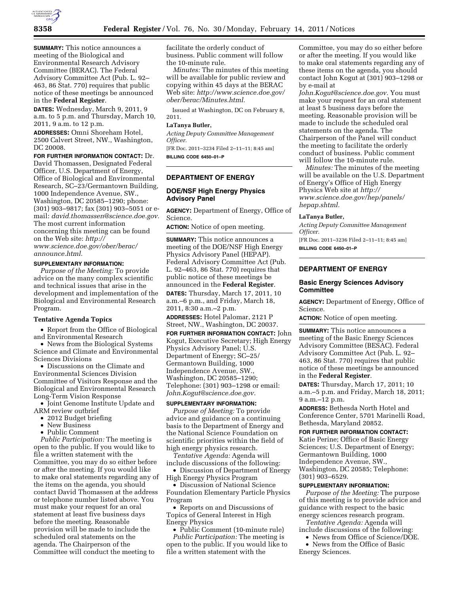

**SUMMARY:** This notice announces a meeting of the Biological and Environmental Research Advisory Committee (BERAC). The Federal Advisory Committee Act (Pub. L. 92– 463, 86 Stat. 770) requires that public notice of these meetings be announced in the **Federal Register**.

**DATES:** Wednesday, March 9, 2011, 9 a.m. to 5 p.m. and Thursday, March 10, 2011, 9 a.m. to 12 p.m.

**ADDRESSES:** Omni Shoreham Hotel, 2500 Calvert Street, NW., Washington, DC 20008.

**FOR FURTHER INFORMATION CONTACT:** Dr.

David Thomassen, Designated Federal Officer, U.S. Department of Energy, Office of Biological and Environmental Research, SC–23/Germantown Building, 1000 Independence Avenue, SW., Washington, DC 20585–1290; phone: (301) 903–9817; fax (301) 903–5051 or email: *[david.thomassen@science.doe.gov.](mailto:david.thomassen@science.doe.gov)*  The most current information concerning this meeting can be found on the Web site: *[http://](http://www.science.doe.gov/ober/berac/announce.html) [www.science.doe.gov/ober/berac/](http://www.science.doe.gov/ober/berac/announce.html)* 

*[announce.html.](http://www.science.doe.gov/ober/berac/announce.html)* 

# **SUPPLEMENTARY INFORMATION:**

*Purpose of the Meeting:* To provide advice on the many complex scientific and technical issues that arise in the development and implementation of the Biological and Environmental Research Program.

# **Tentative Agenda Topics**

• Report from the Office of Biological and Environmental Research

• News from the Biological Systems Science and Climate and Environmental Sciences Divisions

• Discussions on the Climate and Environmental Sciences Division Committee of Visitors Response and the Biological and Environmental Research Long-Term Vision Response

• Joint Genome Institute Update and ARM review outbrief

- 2012 Budget briefing
- New Business
- Public Comment

*Public Participation:* The meeting is open to the public. If you would like to file a written statement with the Committee, you may do so either before or after the meeting. If you would like to make oral statements regarding any of the items on the agenda, you should contact David Thomassen at the address or telephone number listed above. You must make your request for an oral statement at least five business days before the meeting. Reasonable provision will be made to include the scheduled oral statements on the agenda. The Chairperson of the Committee will conduct the meeting to

facilitate the orderly conduct of business. Public comment will follow the 10-minute rule.

*Minutes:* The minutes of this meeting will be available for public review and copying within 45 days at the BERAC Web site: *[http://www.science.doe.gov/](http://www.science.doe.gov/ober/berac/Minutes.html)  [ober/berac/Minutes.html.](http://www.science.doe.gov/ober/berac/Minutes.html)* 

Issued at Washington, DC on February 8, 2011.

### **LaTanya Butler,**

*Acting Deputy Committee Management Officer.* 

[FR Doc. 2011–3234 Filed 2–11–11; 8:45 am] **BILLING CODE 6450–01–P** 

# **DEPARTMENT OF ENERGY**

### **DOE/NSF High Energy Physics Advisory Panel**

**AGENCY:** Department of Energy, Office of Science.

**ACTION:** Notice of open meeting.

**SUMMARY:** This notice announces a meeting of the DOE/NSF High Energy Physics Advisory Panel (HEPAP). Federal Advisory Committee Act (Pub. L. 92–463, 86 Stat. 770) requires that public notice of these meetings be announced in the **Federal Register**.

**DATES:** Thursday, March 17, 2011, 10 a.m.–6 p.m., and Friday, March 18, 2011, 8:30 a.m.–2 p.m.

**ADDRESSES:** Hotel Palomar, 2121 P Street, NW., Washington, DC 20037.

**FOR FURTHER INFORMATION CONTACT:** John Kogut, Executive Secretary; High Energy Physics Advisory Panel; U.S. Department of Energy; SC–25/ Germantown Building, 1000 Independence Avenue, SW., Washington, DC 20585–1290; Telephone: (301) 903–1298 or email: *[John.Kogut@science.doe.gov.](mailto:John.Kogut@science.doe.gov)* 

#### **SUPPLEMENTARY INFORMATION:**

*Purpose of Meeting:* To provide advice and guidance on a continuing basis to the Department of Energy and the National Science Foundation on scientific priorities within the field of high energy physics research.

*Tentative Agenda:* Agenda will include discussions of the following:

• Discussion of Department of Energy High Energy Physics Program

• Discussion of National Science Foundation Elementary Particle Physics Program

• Reports on and Discussions of Topics of General Interest in High Energy Physics

• Public Comment (10-minute rule) *Public Participation:* The meeting is open to the public. If you would like to file a written statement with the

Committee, you may do so either before or after the meeting. If you would like to make oral statements regarding any of these items on the agenda, you should contact John Kogut at (301) 903–1298 or by e-mail at

*[John.Kogut@science.doe.gov.](mailto:John.Kogut@science.doe.gov)* You must make your request for an oral statement at least 5 business days before the meeting. Reasonable provision will be made to include the scheduled oral statements on the agenda. The Chairperson of the Panel will conduct the meeting to facilitate the orderly conduct of business. Public comment will follow the 10-minute rule.

*Minutes:* The minutes of the meeting will be available on the U.S. Department of Energy's Office of High Energy Physics Web site at *[http://](http://www.science.doe.gov/hep/panels/hepap.shtml) [www.science.doe.gov/hep/panels/](http://www.science.doe.gov/hep/panels/hepap.shtml)  [hepap.shtml.](http://www.science.doe.gov/hep/panels/hepap.shtml)* 

## **LaTanya Butler,**

*Acting Deputy Committee Management Officer.*  [FR Doc. 2011–3236 Filed 2–11–11; 8:45 am] **BILLING CODE 6450–01–P** 

### **DEPARTMENT OF ENERGY**

### **Basic Energy Sciences Advisory Committee**

**AGENCY:** Department of Energy, Office of Science.

**ACTION:** Notice of open meeting.

**SUMMARY:** This notice announces a meeting of the Basic Energy Sciences Advisory Committee (BESAC). Federal Advisory Committee Act (Pub. L. 92– 463, 86 Stat. 770) requires that public notice of these meetings be announced in the **Federal Register**.

**DATES:** Thursday, March 17, 2011; 10 a.m.–5 p.m. and Friday, March 18, 2011; 9 a.m.–12 p.m.

**ADDRESS:** Bethesda North Hotel and Conference Center, 5701 Marinelli Road, Bethesda, Maryland 20852.

**FOR FURTHER INFORMATION CONTACT:**  Katie Perine; Office of Basic Energy Sciences; U.S. Department of Energy; Germantown Building, 1000 Independence Avenue, SW., Washington, DC 20585; Telephone: (301) 903–6529.

#### **SUPPLEMENTARY INFORMATION:**

*Purpose of the Meeting:* The purpose of this meeting is to provide advice and guidance with respect to the basic energy sciences research program.

*Tentative Agenda:* Agenda will

include discussions of the following: • News from Office of Science/DOE.

• News from the Office of Basic Energy Sciences.